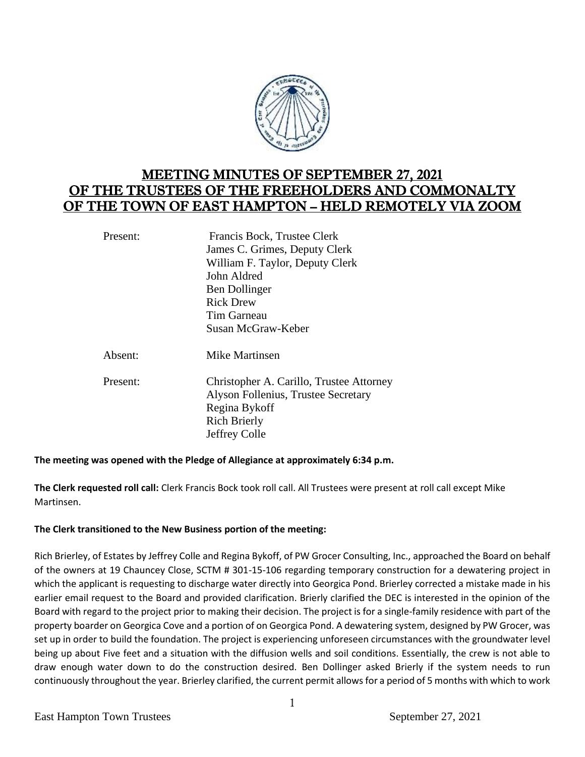

# MEETING MINUTES OF SEPTEMBER 27, 2021 OF THE TRUSTEES OF THE FREEHOLDERS AND COMMONALTY OF THE TOWN OF EAST HAMPTON – HELD REMOTELY VIA ZOOM

| Present: | Francis Bock, Trustee Clerk                                                                                             |
|----------|-------------------------------------------------------------------------------------------------------------------------|
|          | James C. Grimes, Deputy Clerk                                                                                           |
|          | William F. Taylor, Deputy Clerk                                                                                         |
|          | John Aldred                                                                                                             |
|          | Ben Dollinger                                                                                                           |
|          | <b>Rick Drew</b>                                                                                                        |
|          | Tim Garneau                                                                                                             |
|          | Susan McGraw-Keber                                                                                                      |
| Absent:  | <b>Mike Martinsen</b>                                                                                                   |
| Present: | Christopher A. Carillo, Trustee Attorney<br>Alyson Follenius, Trustee Secretary<br>Regina Bykoff<br><b>Rich Brierly</b> |
|          | Jeffrey Colle                                                                                                           |

## **The meeting was opened with the Pledge of Allegiance at approximately 6:34 p.m.**

**The Clerk requested roll call:** Clerk Francis Bock took roll call. All Trustees were present at roll call except Mike Martinsen.

## **The Clerk transitioned to the New Business portion of the meeting:**

Rich Brierley, of Estates by Jeffrey Colle and Regina Bykoff, of PW Grocer Consulting, Inc., approached the Board on behalf of the owners at 19 Chauncey Close, SCTM # 301-15-106 regarding temporary construction for a dewatering project in which the applicant is requesting to discharge water directly into Georgica Pond. Brierley corrected a mistake made in his earlier email request to the Board and provided clarification. Brierly clarified the DEC is interested in the opinion of the Board with regard to the project prior to making their decision. The project is for a single-family residence with part of the property boarder on Georgica Cove and a portion of on Georgica Pond. A dewatering system, designed by PW Grocer, was set up in order to build the foundation. The project is experiencing unforeseen circumstances with the groundwater level being up about Five feet and a situation with the diffusion wells and soil conditions. Essentially, the crew is not able to draw enough water down to do the construction desired. Ben Dollinger asked Brierly if the system needs to run continuously throughout the year. Brierley clarified, the current permit allows for a period of 5 months with which to work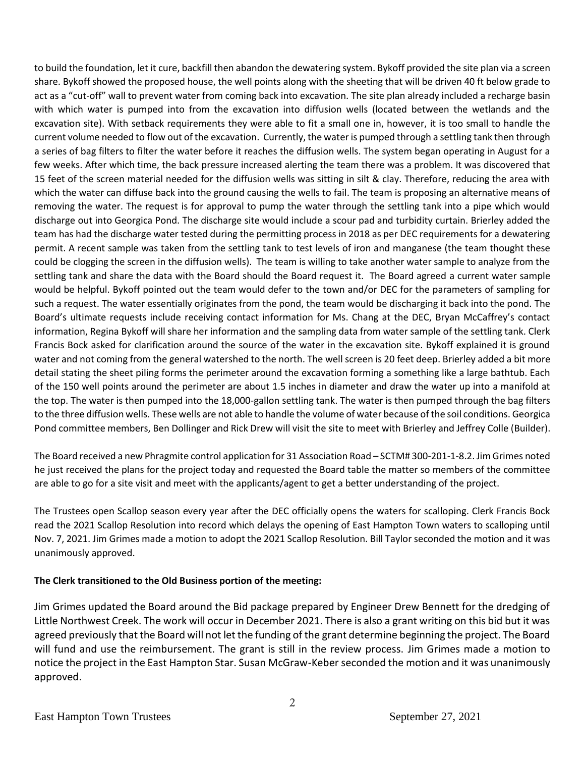to build the foundation, let it cure, backfill then abandon the dewatering system. Bykoff provided the site plan via a screen share. Bykoff showed the proposed house, the well points along with the sheeting that will be driven 40 ft below grade to act as a "cut-off" wall to prevent water from coming back into excavation. The site plan already included a recharge basin with which water is pumped into from the excavation into diffusion wells (located between the wetlands and the excavation site). With setback requirements they were able to fit a small one in, however, it is too small to handle the current volume needed to flow out of the excavation. Currently, the water is pumped through a settling tank then through a series of bag filters to filter the water before it reaches the diffusion wells. The system began operating in August for a few weeks. After which time, the back pressure increased alerting the team there was a problem. It was discovered that 15 feet of the screen material needed for the diffusion wells was sitting in silt & clay. Therefore, reducing the area with which the water can diffuse back into the ground causing the wells to fail. The team is proposing an alternative means of removing the water. The request is for approval to pump the water through the settling tank into a pipe which would discharge out into Georgica Pond. The discharge site would include a scour pad and turbidity curtain. Brierley added the team has had the discharge water tested during the permitting process in 2018 as per DEC requirements for a dewatering permit. A recent sample was taken from the settling tank to test levels of iron and manganese (the team thought these could be clogging the screen in the diffusion wells). The team is willing to take another water sample to analyze from the settling tank and share the data with the Board should the Board request it. The Board agreed a current water sample would be helpful. Bykoff pointed out the team would defer to the town and/or DEC for the parameters of sampling for such a request. The water essentially originates from the pond, the team would be discharging it back into the pond. The Board's ultimate requests include receiving contact information for Ms. Chang at the DEC, Bryan McCaffrey's contact information, Regina Bykoff will share her information and the sampling data from water sample of the settling tank. Clerk Francis Bock asked for clarification around the source of the water in the excavation site. Bykoff explained it is ground water and not coming from the general watershed to the north. The well screen is 20 feet deep. Brierley added a bit more detail stating the sheet piling forms the perimeter around the excavation forming a something like a large bathtub. Each of the 150 well points around the perimeter are about 1.5 inches in diameter and draw the water up into a manifold at the top. The water is then pumped into the 18,000-gallon settling tank. The water is then pumped through the bag filters to the three diffusion wells. These wells are not able to handle the volume of water because of the soil conditions. Georgica Pond committee members, Ben Dollinger and Rick Drew will visit the site to meet with Brierley and Jeffrey Colle (Builder).

The Board received a new Phragmite control application for 31 Association Road – SCTM# 300-201-1-8.2. Jim Grimes noted he just received the plans for the project today and requested the Board table the matter so members of the committee are able to go for a site visit and meet with the applicants/agent to get a better understanding of the project.

The Trustees open Scallop season every year after the DEC officially opens the waters for scalloping. Clerk Francis Bock read the 2021 Scallop Resolution into record which delays the opening of East Hampton Town waters to scalloping until Nov. 7, 2021. Jim Grimes made a motion to adopt the 2021 Scallop Resolution. Bill Taylor seconded the motion and it was unanimously approved.

## **The Clerk transitioned to the Old Business portion of the meeting:**

Jim Grimes updated the Board around the Bid package prepared by Engineer Drew Bennett for the dredging of Little Northwest Creek. The work will occur in December 2021. There is also a grant writing on this bid but it was agreed previously that the Board will not let the funding of the grant determine beginning the project. The Board will fund and use the reimbursement. The grant is still in the review process. Jim Grimes made a motion to notice the project in the East Hampton Star. Susan McGraw-Keber seconded the motion and it was unanimously approved.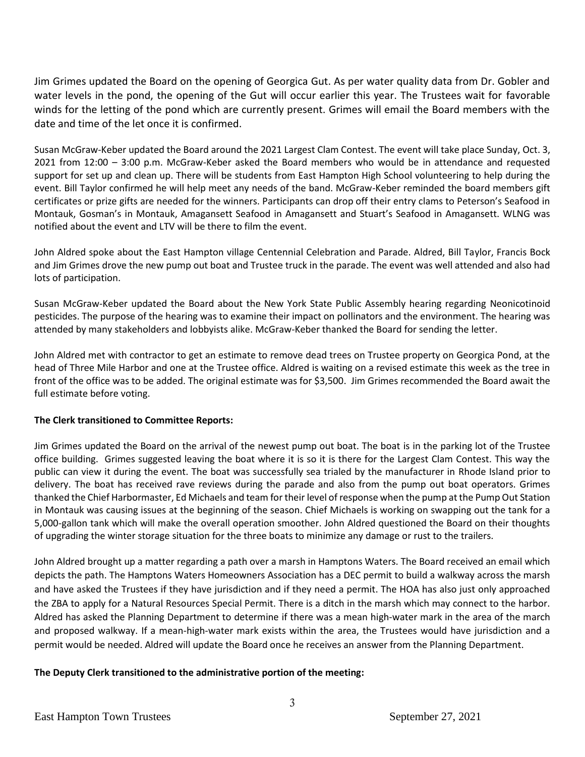Jim Grimes updated the Board on the opening of Georgica Gut. As per water quality data from Dr. Gobler and water levels in the pond, the opening of the Gut will occur earlier this year. The Trustees wait for favorable winds for the letting of the pond which are currently present. Grimes will email the Board members with the date and time of the let once it is confirmed.

Susan McGraw-Keber updated the Board around the 2021 Largest Clam Contest. The event will take place Sunday, Oct. 3, 2021 from 12:00 – 3:00 p.m. McGraw-Keber asked the Board members who would be in attendance and requested support for set up and clean up. There will be students from East Hampton High School volunteering to help during the event. Bill Taylor confirmed he will help meet any needs of the band. McGraw-Keber reminded the board members gift certificates or prize gifts are needed for the winners. Participants can drop off their entry clams to Peterson's Seafood in Montauk, Gosman's in Montauk, Amagansett Seafood in Amagansett and Stuart's Seafood in Amagansett. WLNG was notified about the event and LTV will be there to film the event.

John Aldred spoke about the East Hampton village Centennial Celebration and Parade. Aldred, Bill Taylor, Francis Bock and Jim Grimes drove the new pump out boat and Trustee truck in the parade. The event was well attended and also had lots of participation.

Susan McGraw-Keber updated the Board about the New York State Public Assembly hearing regarding Neonicotinoid pesticides. The purpose of the hearing was to examine their impact on pollinators and the environment. The hearing was attended by many stakeholders and lobbyists alike. McGraw-Keber thanked the Board for sending the letter.

John Aldred met with contractor to get an estimate to remove dead trees on Trustee property on Georgica Pond, at the head of Three Mile Harbor and one at the Trustee office. Aldred is waiting on a revised estimate this week as the tree in front of the office was to be added. The original estimate was for \$3,500. Jim Grimes recommended the Board await the full estimate before voting.

## **The Clerk transitioned to Committee Reports:**

Jim Grimes updated the Board on the arrival of the newest pump out boat. The boat is in the parking lot of the Trustee office building. Grimes suggested leaving the boat where it is so it is there for the Largest Clam Contest. This way the public can view it during the event. The boat was successfully sea trialed by the manufacturer in Rhode Island prior to delivery. The boat has received rave reviews during the parade and also from the pump out boat operators. Grimes thanked the Chief Harbormaster, Ed Michaels and team for their level of response when the pump at the Pump Out Station in Montauk was causing issues at the beginning of the season. Chief Michaels is working on swapping out the tank for a 5,000-gallon tank which will make the overall operation smoother. John Aldred questioned the Board on their thoughts of upgrading the winter storage situation for the three boats to minimize any damage or rust to the trailers.

John Aldred brought up a matter regarding a path over a marsh in Hamptons Waters. The Board received an email which depicts the path. The Hamptons Waters Homeowners Association has a DEC permit to build a walkway across the marsh and have asked the Trustees if they have jurisdiction and if they need a permit. The HOA has also just only approached the ZBA to apply for a Natural Resources Special Permit. There is a ditch in the marsh which may connect to the harbor. Aldred has asked the Planning Department to determine if there was a mean high-water mark in the area of the march and proposed walkway. If a mean-high-water mark exists within the area, the Trustees would have jurisdiction and a permit would be needed. Aldred will update the Board once he receives an answer from the Planning Department.

## **The Deputy Clerk transitioned to the administrative portion of the meeting:**